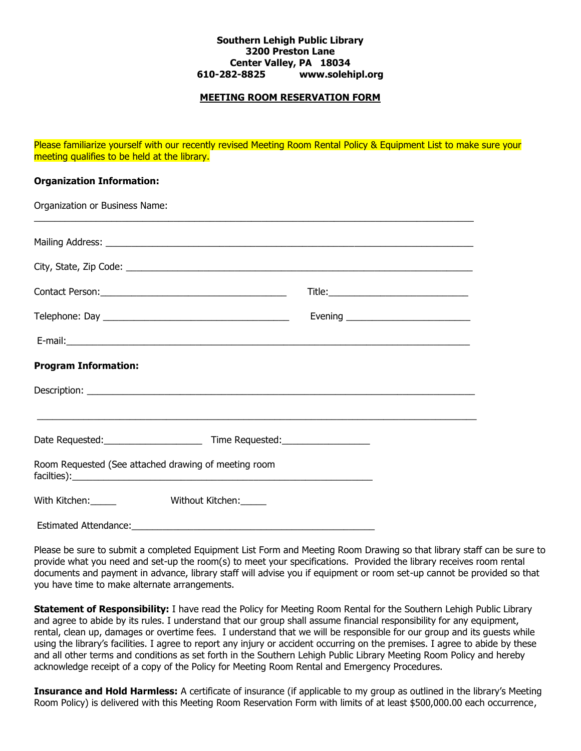## **Southern Lehigh Public Library 3200 Preston Lane Center Valley, PA 18034 610-282-8825 www.solehipl.org**

## **MEETING ROOM RESERVATION FORM**

Please familiarize yourself with our recently revised Meeting Room Rental Policy & Equipment List to make sure your meeting qualifies to be held at the library.

## **Organization Information:**

| Organization or Business Name: |                                                      |                                         |
|--------------------------------|------------------------------------------------------|-----------------------------------------|
|                                |                                                      |                                         |
|                                |                                                      |                                         |
|                                |                                                      |                                         |
|                                |                                                      | Evening _______________________________ |
|                                |                                                      |                                         |
| <b>Program Information:</b>    |                                                      |                                         |
|                                |                                                      |                                         |
|                                |                                                      |                                         |
|                                | Room Requested (See attached drawing of meeting room |                                         |
| With Kitchen:                  | Without Kitchen:                                     |                                         |
| <b>Estimated Attendance:</b>   |                                                      |                                         |

Please be sure to submit a completed Equipment List Form and Meeting Room Drawing so that library staff can be sure to provide what you need and set-up the room(s) to meet your specifications. Provided the library receives room rental documents and payment in advance, library staff will advise you if equipment or room set-up cannot be provided so that you have time to make alternate arrangements.

**Statement of Responsibility:** I have read the Policy for Meeting Room Rental for the Southern Lehigh Public Library and agree to abide by its rules. I understand that our group shall assume financial responsibility for any equipment, rental, clean up, damages or overtime fees. I understand that we will be responsible for our group and its guests while using the library's facilities. I agree to report any injury or accident occurring on the premises. I agree to abide by these and all other terms and conditions as set forth in the Southern Lehigh Public Library Meeting Room Policy and hereby acknowledge receipt of a copy of the Policy for Meeting Room Rental and Emergency Procedures.

**Insurance and Hold Harmless:** A certificate of insurance (if applicable to my group as outlined in the library's Meeting Room Policy) is delivered with this Meeting Room Reservation Form with limits of at least \$500,000.00 each occurrence,